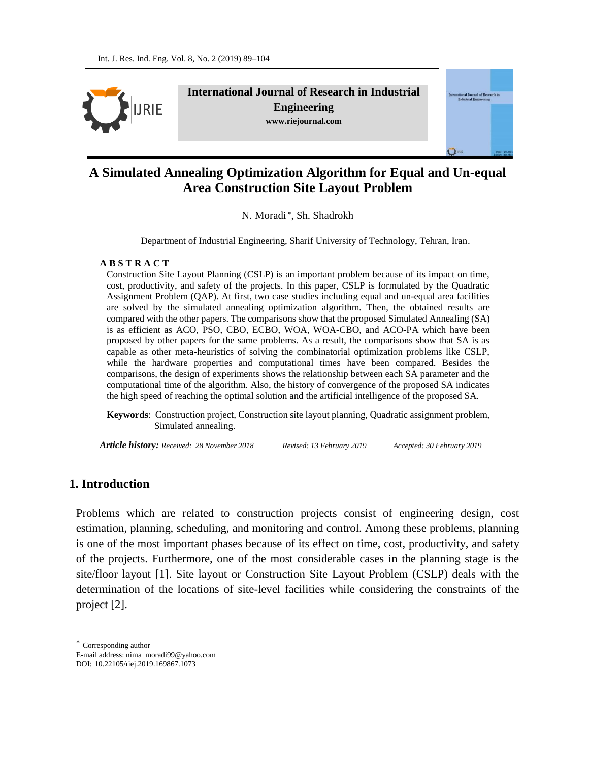

**International Journal of Research in Industrial Engineering www.riejournal.com**



# **A Simulated Annealing Optimization Algorithm for Equal and Un-equal Area Construction Site Layout Problem**

N. Moradi<sup>\*</sup>, Sh. Shadrokh

Department of Industrial Engineering, Sharif University of Technology, Tehran, Iran.

#### **A B S T R A C T**

Construction Site Layout Planning (CSLP) is an important problem because of its impact on time, cost, productivity, and safety of the projects. In this paper, CSLP is formulated by the Quadratic Assignment Problem (QAP). At first, two case studies including equal and un-equal area facilities are solved by the simulated annealing optimization algorithm. Then, the obtained results are compared with the other papers. The comparisons show that the proposed Simulated Annealing (SA) is as efficient as ACO, PSO, CBO, ECBO, WOA, WOA-CBO, and ACO-PA which have been proposed by other papers for the same problems. As a result, the comparisons show that SA is as capable as other meta-heuristics of solving the combinatorial optimization problems like CSLP, while the hardware properties and computational times have been compared. Besides the comparisons, the design of experiments shows the relationship between each SA parameter and the computational time of the algorithm. Also, the history of convergence of the proposed SA indicates the high speed of reaching the optimal solution and the artificial intelligence of the proposed SA.

**Keywords**:Construction project, Construction site layout planning, Quadratic assignment problem, Simulated annealing.

*Article history: Received: 28 November 2018 Revised: 13 February 2019 Accepted: 30 February 2019*

## **1. Introduction**

Problems which are related to construction projects consist of engineering design, cost estimation, planning, scheduling, and monitoring and control. Among these problems, planning is one of the most important phases because of its effect on time, cost, productivity, and safety of the projects. Furthermore, one of the most considerable cases in the planning stage is the site/floor layout [1]. Site layout or Construction Site Layout Problem (CSLP) deals with the determination of the locations of site-level facilities while considering the constraints of the project [2].

 $\overline{a}$ 

Corresponding author

E-mail address: nima\_moradi99@yahoo.com

DOI: 10.22105/riej.2019.169867.1073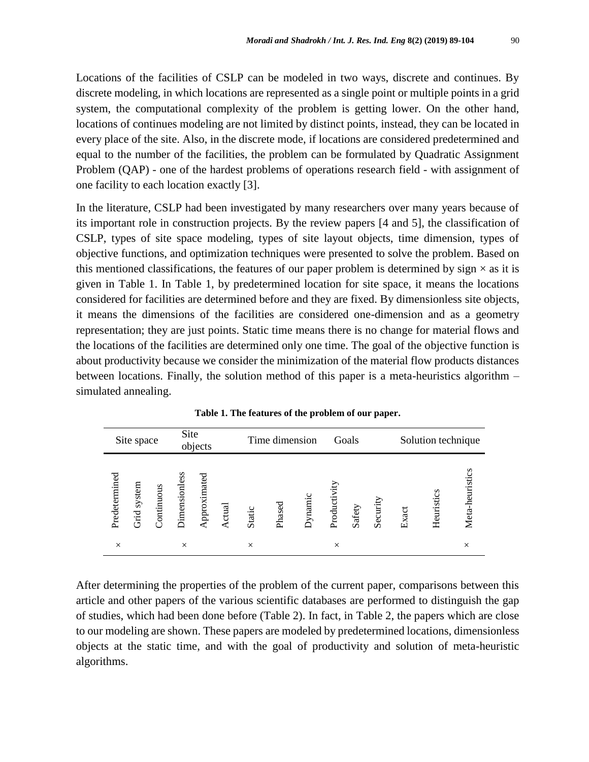Locations of the facilities of CSLP can be modeled in two ways, discrete and continues. By discrete modeling, in which locations are represented as a single point or multiple points in a grid system, the computational complexity of the problem is getting lower. On the other hand, locations of continues modeling are not limited by distinct points, instead, they can be located in every place of the site. Also, in the discrete mode, if locations are considered predetermined and equal to the number of the facilities, the problem can be formulated by Quadratic Assignment Problem (QAP) - one of the hardest problems of operations research field - with assignment of one facility to each location exactly [3].

In the literature, CSLP had been investigated by many researchers over many years because of its important role in construction projects. By the review papers [4 and 5], the classification of CSLP, types of site space modeling, types of site layout objects, time dimension, types of objective functions, and optimization techniques were presented to solve the problem. Based on this mentioned classifications, the features of our paper problem is determined by sign  $\times$  as it is given in Table 1. In Table 1, by predetermined location for site space, it means the locations considered for facilities are determined before and they are fixed. By dimensionless site objects, it means the dimensions of the facilities are considered one-dimension and as a geometry representation; they are just points. Static time means there is no change for material flows and the locations of the facilities are determined only one time. The goal of the objective function is about productivity because we consider the minimization of the material flow products distances between locations. Finally, the solution method of this paper is a meta-heuristics algorithm – simulated annealing.

| Site space    |             | Site<br>objects |                      |              |            | Time dimension |        |         | Goals        |        |          | Solution technique |            |                 |  |
|---------------|-------------|-----------------|----------------------|--------------|------------|----------------|--------|---------|--------------|--------|----------|--------------------|------------|-----------------|--|
| Predetermined | Grid system | ontinuous       | <b>Jimensionless</b> | Approximated | ctual<br>◅ | Static         | Phased | Dynamic | Productivity | Safety | Security | Exact              | Heuristics | Meta-heuristics |  |
| $\times$      |             |                 | $\times$             |              |            | $\times$       |        |         | $\times$     |        |          |                    |            | $\times$        |  |

**Table 1. The features of the problem of our paper.**

After determining the properties of the problem of the current paper, comparisons between this article and other papers of the various scientific databases are performed to distinguish the gap of studies, which had been done before (Table 2). In fact, in Table 2, the papers which are close to our modeling are shown. These papers are modeled by predetermined locations, dimensionless objects at the static time, and with the goal of productivity and solution of meta-heuristic algorithms.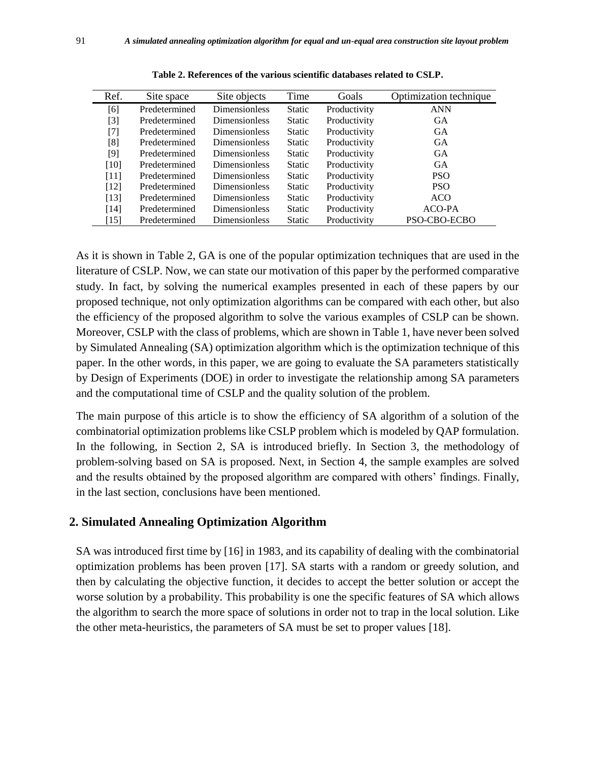| Ref.   | Site space    | Site objects         | Time          | Goals        | Optimization technique |
|--------|---------------|----------------------|---------------|--------------|------------------------|
| [6]    | Predetermined | <b>Dimensionless</b> | <b>Static</b> | Productivity | <b>ANN</b>             |
| $[3]$  | Predetermined | Dimensionless        | <b>Static</b> | Productivity | GA                     |
| $[7]$  | Predetermined | <b>Dimensionless</b> | <b>Static</b> | Productivity | <b>GA</b>              |
| [8]    | Predetermined | <b>Dimensionless</b> | <b>Static</b> | Productivity | <b>GA</b>              |
| [9]    | Predetermined | <b>Dimensionless</b> | <b>Static</b> | Productivity | <b>GA</b>              |
| [10]   | Predetermined | <b>Dimensionless</b> | <b>Static</b> | Productivity | <b>GA</b>              |
| [11]   | Predetermined | <b>Dimensionless</b> | <b>Static</b> | Productivity | PSO.                   |
| $[12]$ | Predetermined | <b>Dimensionless</b> | <b>Static</b> | Productivity | <b>PSO</b>             |
| [13]   | Predetermined | <b>Dimensionless</b> | <b>Static</b> | Productivity | ACO                    |
| [14]   | Predetermined | <b>Dimensionless</b> | <b>Static</b> | Productivity | ACO-PA                 |
| [15]   | Predetermined | Dimensionless        | <b>Static</b> | Productivity | PSO-CBO-ECBO           |

**Table 2. References of the various scientific databases related to CSLP.**

As it is shown in Table 2, GA is one of the popular optimization techniques that are used in the literature of CSLP. Now, we can state our motivation of this paper by the performed comparative study. In fact, by solving the numerical examples presented in each of these papers by our proposed technique, not only optimization algorithms can be compared with each other, but also the efficiency of the proposed algorithm to solve the various examples of CSLP can be shown. Moreover, CSLP with the class of problems, which are shown in Table 1, have never been solved by Simulated Annealing (SA) optimization algorithm which is the optimization technique of this paper. In the other words, in this paper, we are going to evaluate the SA parameters statistically by Design of Experiments (DOE) in order to investigate the relationship among SA parameters and the computational time of CSLP and the quality solution of the problem.

The main purpose of this article is to show the efficiency of SA algorithm of a solution of the combinatorial optimization problems like CSLP problem which is modeled by QAP formulation. In the following, in Section 2, SA is introduced briefly. In Section 3, the methodology of problem-solving based on SA is proposed. Next, in Section 4, the sample examples are solved and the results obtained by the proposed algorithm are compared with others' findings. Finally, in the last section, conclusions have been mentioned.

### **2. Simulated Annealing Optimization Algorithm**

SA was introduced first time by [16] in 1983, and its capability of dealing with the combinatorial optimization problems has been proven [17]. SA starts with a random or greedy solution, and then by calculating the objective function, it decides to accept the better solution or accept the worse solution by a probability. This probability is one the specific features of SA which allows the algorithm to search the more space of solutions in order not to trap in the local solution. Like the other meta-heuristics, the parameters of SA must be set to proper values [18].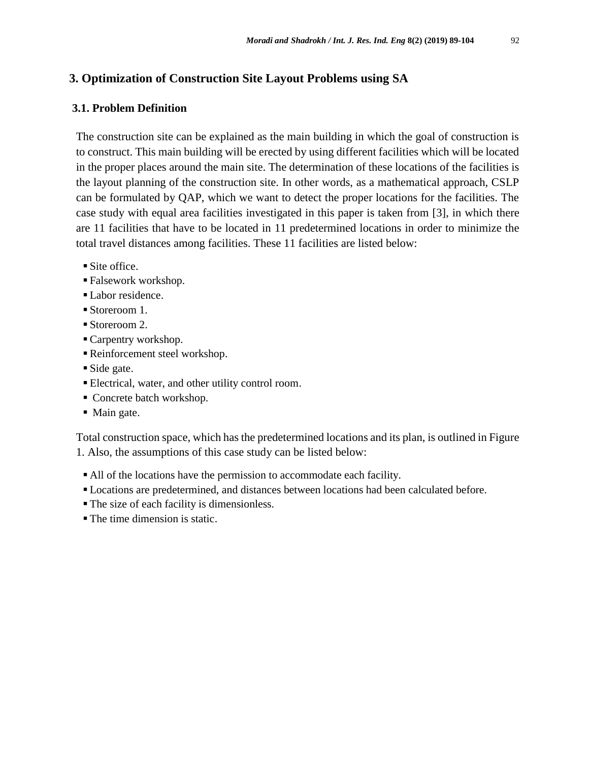### **3. Optimization of Construction Site Layout Problems using SA**

### **3.1. Problem Definition**

The construction site can be explained as the main building in which the goal of construction is to construct. This main building will be erected by using different facilities which will be located in the proper places around the main site. The determination of these locations of the facilities is the layout planning of the construction site. In other words, as a mathematical approach, CSLP can be formulated by QAP, which we want to detect the proper locations for the facilities. The case study with equal area facilities investigated in this paper is taken from [3], in which there are 11 facilities that have to be located in 11 predetermined locations in order to minimize the total travel distances among facilities. These 11 facilities are listed below:

- Site office.
- Falsework workshop.
- Labor residence.
- Storeroom 1.
- Storeroom 2.
- Carpentry workshop.
- Reinforcement steel workshop.
- Side gate.
- Electrical, water, and other utility control room.
- Concrete batch workshop.
- Main gate.

Total construction space, which has the predetermined locations and its plan, is outlined in Figure 1. Also, the assumptions of this case study can be listed below:

- All of the locations have the permission to accommodate each facility.
- Locations are predetermined, and distances between locations had been calculated before.
- The size of each facility is dimensionless.
- The time dimension is static.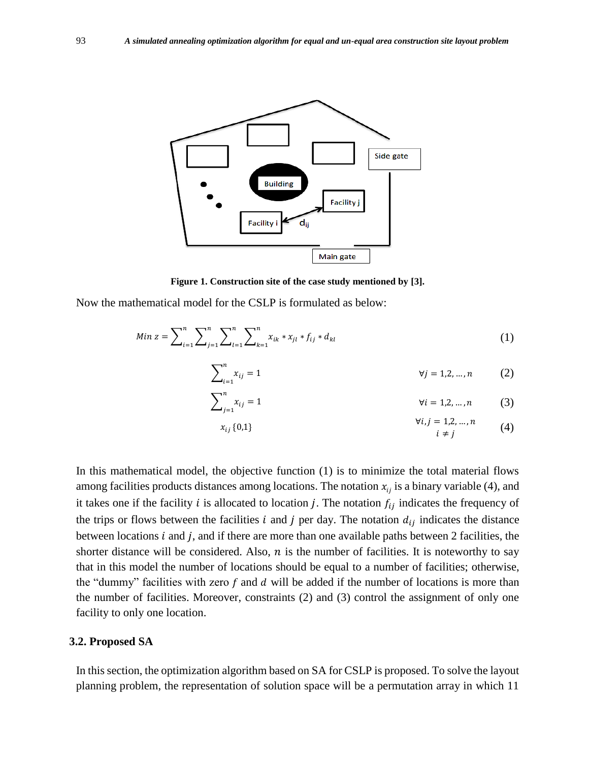

**Figure 1. Construction site of the case study mentioned by [3].**

Now the mathematical model for the CSLP is formulated as below:

$$
Min z = \sum_{i=1}^{n} \sum_{j=1}^{n} \sum_{l=1}^{n} \sum_{k=1}^{n} x_{ik} x_{jl} t_{lj} t_{lj} d_{kl}
$$
 (1)

$$
\sum_{i=1}^{n} x_{ij} = 1 \qquad \qquad \forall j = 1, 2, ..., n \qquad (2)
$$

$$
\sum_{j=1}^{n} x_{ij} = 1 \qquad \forall i = 1, 2, ..., n \qquad (3)
$$

$$
x_{ij} \{0,1\} \qquad \qquad v_{\ell,j} = 1,2,...,n \qquad (4)
$$

In this mathematical model, the objective function (1) is to minimize the total material flows among facilities products distances among locations. The notation  $x_{ii}$  is a binary variable (4), and it takes one if the facility *i* is allocated to location *j*. The notation  $f_{ij}$  indicates the frequency of the trips or flows between the facilities *i* and *j* per day. The notation  $d_{ij}$  indicates the distance between locations  $i$  and  $j$ , and if there are more than one available paths between 2 facilities, the shorter distance will be considered. Also,  $n$  is the number of facilities. It is noteworthy to say that in this model the number of locations should be equal to a number of facilities; otherwise, the "dummy" facilities with zero  $f$  and  $d$  will be added if the number of locations is more than the number of facilities. Moreover, constraints (2) and (3) control the assignment of only one facility to only one location.

#### **3.2. Proposed SA**

In this section, the optimization algorithm based on SA for CSLP is proposed. To solve the layout planning problem, the representation of solution space will be a permutation array in which 11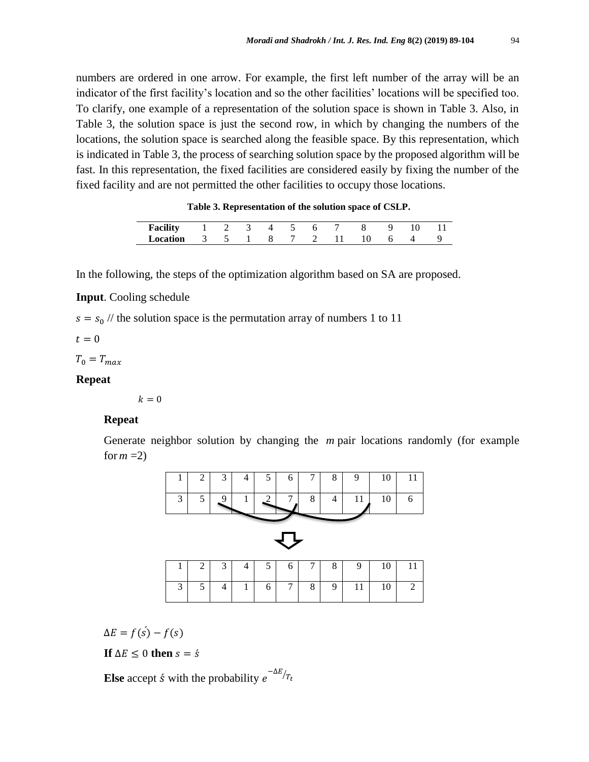numbers are ordered in one arrow. For example, the first left number of the array will be an indicator of the first facility's location and so the other facilities' locations will be specified too. To clarify, one example of a representation of the solution space is shown in Table 3. Also, in Table 3, the solution space is just the second row, in which by changing the numbers of the locations, the solution space is searched along the feasible space. By this representation, which is indicated in Table 3, the process of searching solution space by the proposed algorithm will be fast. In this representation, the fixed facilities are considered easily by fixing the number of the fixed facility and are not permitted the other facilities to occupy those locations.

**Table 3. Representation of the solution space of CSLP.**

| <b>Facility</b> |   |  | $\Lambda$ |  | $\circ$ |  |  |
|-----------------|---|--|-----------|--|---------|--|--|
| Location        | ້ |  |           |  |         |  |  |

In the following, the steps of the optimization algorithm based on SA are proposed.

**Input**. Cooling schedule

 $s = s_0$  // the solution space is the permutation array of numbers 1 to 11

 $t = 0$ 

 $T_0 = T_{max}$ 

### **Repeat**

 $k = 0$ 

#### **Repeat**

Generate neighbor solution by changing the *m* pair locations randomly (for example for  $m=2$ )



 $\Delta E = f(\acute{s}) - f(s)$ 

If 
$$
\Delta E \leq 0
$$
 then  $s = \dot{s}$ 

**Else** accept *s* with the probability  $e^{-\Delta E/T_t}$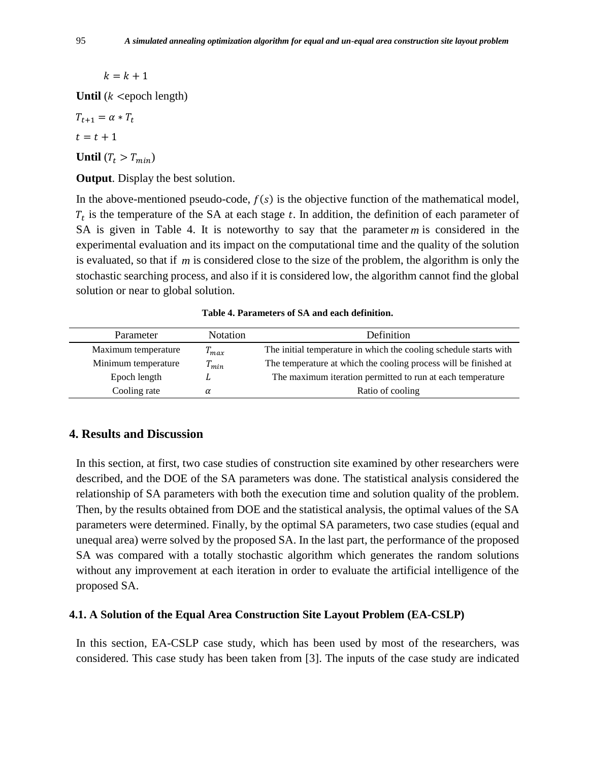$k = k + 1$ 

**Until**  $(k \leq \text{epoch length})$ 

 $T_{t+1} = \alpha * T_t$  $t = t + 1$ 

**Until**  $(T_t > T_{min})$ 

**Output**. Display the best solution.

In the above-mentioned pseudo-code,  $f(s)$  is the objective function of the mathematical model,  $T_t$  is the temperature of the SA at each stage  $t$ . In addition, the definition of each parameter of SA is given in Table 4. It is noteworthy to say that the parameter  $m$  is considered in the experimental evaluation and its impact on the computational time and the quality of the solution is evaluated, so that if *m* is considered close to the size of the problem, the algorithm is only the stochastic searching process, and also if it is considered low, the algorithm cannot find the global solution or near to global solution.

| Parameter           | <b>Notation</b> | Definition                                                        |
|---------------------|-----------------|-------------------------------------------------------------------|
| Maximum temperature | $T_{max}$       | The initial temperature in which the cooling schedule starts with |
| Minimum temperature | $T_{min}$       | The temperature at which the cooling process will be finished at  |
| Epoch length        |                 | The maximum iteration permitted to run at each temperature        |
| Cooling rate        |                 | Ratio of cooling                                                  |

**Table 4. Parameters of SA and each definition.**

# **4. Results and Discussion**

In this section, at first, two case studies of construction site examined by other researchers were described, and the DOE of the SA parameters was done. The statistical analysis considered the relationship of SA parameters with both the execution time and solution quality of the problem. Then, by the results obtained from DOE and the statistical analysis, the optimal values of the SA parameters were determined. Finally, by the optimal SA parameters, two case studies (equal and unequal area) werre solved by the proposed SA. In the last part, the performance of the proposed SA was compared with a totally stochastic algorithm which generates the random solutions without any improvement at each iteration in order to evaluate the artificial intelligence of the proposed SA.

#### **4.1. A Solution of the Equal Area Construction Site Layout Problem (EA-CSLP)**

In this section, EA-CSLP case study, which has been used by most of the researchers, was considered. This case study has been taken from [3]. The inputs of the case study are indicated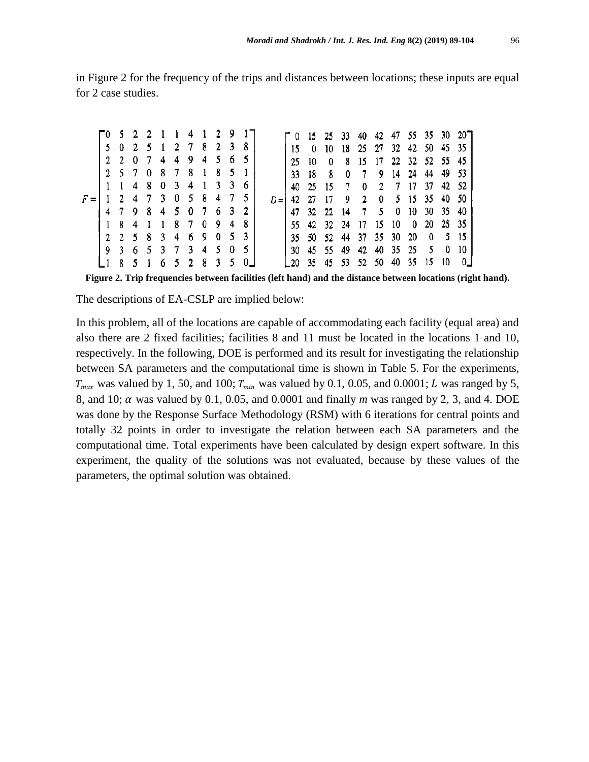|       | T0 5 2 2 1 1 4 1 2 9 |             |                     |    |  |             |       |   | $\begin{bmatrix} 0 & 15 & 25 & 33 & 40 & 42 & 47 & 55 & 35 & 30 & 20 \end{bmatrix}$ |       |                                 |                |                |              |                      |               |     |                |     |
|-------|----------------------|-------------|---------------------|----|--|-------------|-------|---|-------------------------------------------------------------------------------------|-------|---------------------------------|----------------|----------------|--------------|----------------------|---------------|-----|----------------|-----|
|       |                      |             | 5 0 2 5 1 2 7 8 2 3 |    |  |             |       |   | 15.                                                                                 |       | $0 \quad 10 \quad 18$           |                |                |              | 25 27 32 42 50 45 35 |               |     |                |     |
|       |                      |             | 2 2 0 7 4 4 9 4 5 6 |    |  |             |       |   | 25                                                                                  | 10    | $\mathbf{0}$                    | 8              |                |              | 15 17 22 32 52 55 45 |               |     |                |     |
|       |                      |             | 2 5 7 0 8 7 8 1 8 5 |    |  |             |       |   | 33                                                                                  | 18    | 8                               | 0              |                |              | 7 9 14 24            |               | -44 | 49 53          |     |
|       |                      | $1\quad1$   |                     | 48 |  | 0 3 4 1 3 3 |       | 6 |                                                                                     | 40 25 | -15                             | 7              | $^{\circ}$     |              | 2 7 17 37 42 52      |               |     |                |     |
| $F =$ |                      |             | 1 2 4 7 3 0 5 8 4 7 |    |  |             |       |   | $D = 14227$                                                                         |       | 17                              | 9 <sup>7</sup> | $\overline{2}$ | $\mathbf{0}$ |                      | 5 15 35 40 50 |     |                |     |
|       |                      |             | 4798                |    |  | 4 5 0 7 6 3 |       |   |                                                                                     |       | 47 32 22 14                     |                |                | 7 5          | 0                    | 10 30 35      |     |                | -40 |
|       |                      | $1 \quad 8$ | 4                   |    |  | 187094      |       |   |                                                                                     |       | 55 42 32 24 17 15 10 0 20 25 35 |                |                |              |                      |               |     |                |     |
|       |                      |             | 2 2 5 8 3 4 6 9 0 5 |    |  |             |       |   |                                                                                     |       | 35 50 52 44 37 35 30 20         |                |                |              |                      |               |     | $0 \t 5 \t 15$ |     |
|       |                      |             | 9 3 6 5 3 7 3       |    |  |             | 4 5 0 |   | -30                                                                                 |       | 45 55 49                        |                | 42             |              | 40 35 25 5           |               |     | $\mathbf{0}$   | 10  |
|       |                      |             |                     |    |  | 6 5 2 8 3 5 |       |   |                                                                                     | 35    |                                 | 45 53 52 50    |                |              |                      | 40 35 15      |     | -10            |     |

in Figure 2 for the frequency of the trips and distances between locations; these inputs are equal for 2 case studies.

**Figure 2. Trip frequencies between facilities (left hand) and the distance between locations (right hand).**

The descriptions of EA-CSLP are implied below:

In this problem, all of the locations are capable of accommodating each facility (equal area) and also there are 2 fixed facilities; facilities 8 and 11 must be located in the locations 1 and 10, respectively. In the following, DOE is performed and its result for investigating the relationship between SA parameters and the computational time is shown in Table 5. For the experiments,  $T_{max}$  was valued by 1, 50, and 100;  $T_{min}$  was valued by 0.1, 0.05, and 0.0001; *L* was ranged by 5, 8, and 10;  $\alpha$  was valued by 0.1, 0.05, and 0.0001 and finally *m* was ranged by 2, 3, and 4. DOE was done by the Response Surface Methodology (RSM) with 6 iterations for central points and totally 32 points in order to investigate the relation between each SA parameters and the computational time. Total experiments have been calculated by design expert software. In this experiment, the quality of the solutions was not evaluated, because by these values of the parameters, the optimal solution was obtained.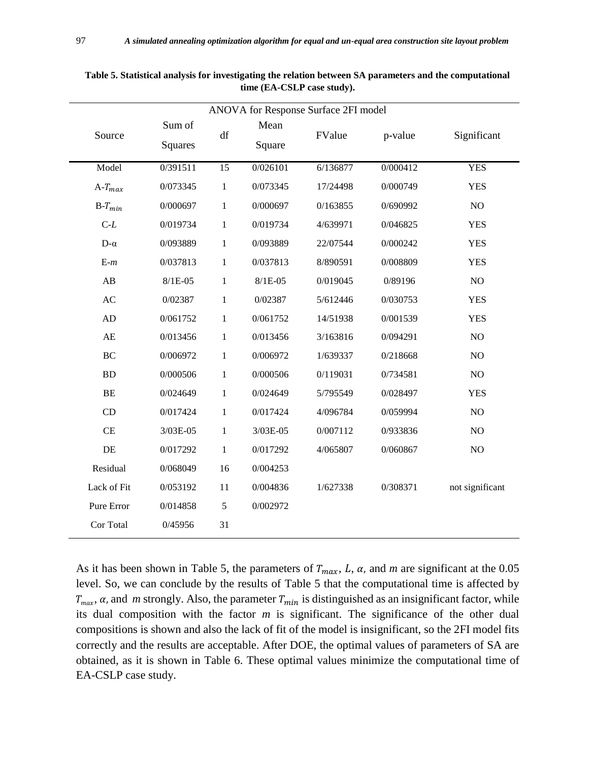|             | ANOVA for Response Surface 2FI model |              |                |          |          |                 |  |  |  |  |  |  |
|-------------|--------------------------------------|--------------|----------------|----------|----------|-----------------|--|--|--|--|--|--|
| Source      | Sum of<br><b>Squares</b>             | df           | Mean<br>Square | FValue   | p-value  | Significant     |  |  |  |  |  |  |
| Model       | 0/391511                             | 15           | 0/026101       | 6/136877 | 0/000412 | <b>YES</b>      |  |  |  |  |  |  |
| $A-T_{max}$ | 0/073345                             | $\mathbf{1}$ | 0/073345       | 17/24498 | 0/000749 | <b>YES</b>      |  |  |  |  |  |  |
| $B-T_{min}$ | 0/000697                             | $\mathbf{1}$ | 0/000697       | 0/163855 | 0/690992 | $\rm NO$        |  |  |  |  |  |  |
| $C-L$       | 0/019734                             | 1            | 0/019734       | 4/639971 | 0/046825 | <b>YES</b>      |  |  |  |  |  |  |
| $D-\alpha$  | 0/093889                             | $\mathbf{1}$ | 0/093889       | 22/07544 | 0/000242 | <b>YES</b>      |  |  |  |  |  |  |
| $E-m$       | 0/037813                             | $\mathbf{1}$ | 0/037813       | 8/890591 | 0/008809 | <b>YES</b>      |  |  |  |  |  |  |
| AB          | $8/1E-05$                            | $\mathbf{1}$ | $8/1E-05$      | 0/019045 | 0/89196  | NO              |  |  |  |  |  |  |
| AC          | 0/02387                              | $\mathbf{1}$ | 0/02387        | 5/612446 | 0/030753 | <b>YES</b>      |  |  |  |  |  |  |
| AD          | 0/061752                             | $\mathbf{1}$ | 0/061752       | 14/51938 | 0/001539 | <b>YES</b>      |  |  |  |  |  |  |
| AE          | 0/013456                             | $\mathbf{1}$ | 0/013456       | 3/163816 | 0/094291 | NO              |  |  |  |  |  |  |
| BC          | 0/006972                             | 1            | 0/006972       | 1/639337 | 0/218668 | NO              |  |  |  |  |  |  |
| <b>BD</b>   | 0/000506                             | $\mathbf{1}$ | 0/000506       | 0/119031 | 0/734581 | NO              |  |  |  |  |  |  |
| BE          | 0/024649                             | $\mathbf{1}$ | 0/024649       | 5/795549 | 0/028497 | <b>YES</b>      |  |  |  |  |  |  |
| CD          | 0/017424                             | 1            | 0/017424       | 4/096784 | 0/059994 | NO              |  |  |  |  |  |  |
| CE          | 3/03E-05                             | $\,1\,$      | 3/03E-05       | 0/007112 | 0/933836 | NO              |  |  |  |  |  |  |
| DE          | 0/017292                             | $\mathbf{1}$ | 0/017292       | 4/065807 | 0/060867 | NO              |  |  |  |  |  |  |
| Residual    | 0/068049                             | 16           | 0/004253       |          |          |                 |  |  |  |  |  |  |
| Lack of Fit | 0/053192                             | 11           | 0/004836       | 1/627338 | 0/308371 | not significant |  |  |  |  |  |  |
| Pure Error  | 0/014858                             | 5            | 0/002972       |          |          |                 |  |  |  |  |  |  |
| Cor Total   | 0/45956                              | 31           |                |          |          |                 |  |  |  |  |  |  |

**Table 5. Statistical analysis for investigating the relation between SA parameters and the computational time (EA-CSLP case study).**

As it has been shown in Table 5, the parameters of  $T_{max}$ , L,  $\alpha$ , and m are significant at the 0.05 level. So, we can conclude by the results of Table 5 that the computational time is affected by  $T_{max}$ ,  $\alpha$ , and *m* strongly. Also, the parameter  $T_{min}$  is distinguished as an insignificant factor, while its dual composition with the factor *m* is significant. The significance of the other dual compositions is shown and also the lack of fit of the model is insignificant, so the 2FI model fits correctly and the results are acceptable. After DOE, the optimal values of parameters of SA are obtained, as it is shown in Table 6. These optimal values minimize the computational time of EA-CSLP case study.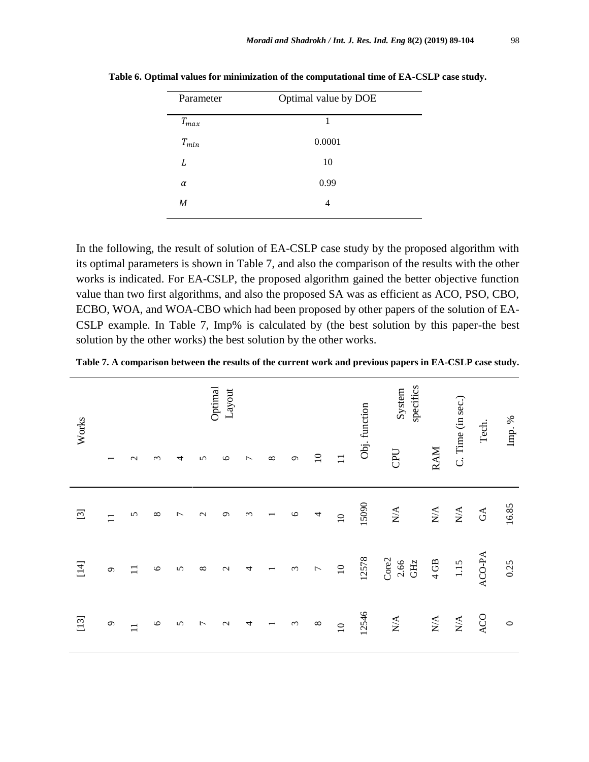| Parameter | Optimal value by DOE |  |
|-----------|----------------------|--|
| $T_{max}$ | 1                    |  |
| $T_{min}$ | 0.0001               |  |
| L         | 10                   |  |
| $\alpha$  | 0.99                 |  |
| M         | 4                    |  |
|           |                      |  |

**Table 6. Optimal values for minimization of the computational time of EA-CSLP case study.**

In the following, the result of solution of EA-CSLP case study by the proposed algorithm with its optimal parameters is shown in Table 7, and also the comparison of the results with the other works is indicated. For EA-CSLP, the proposed algorithm gained the better objective function value than two first algorithms, and also the proposed SA was as efficient as ACO, PSO, CBO, ECBO, WOA, and WOA-CBO which had been proposed by other papers of the solution of EA-CSLP example. In Table 7, Imp% is calculated by (the best solution by this paper-the best solution by the other works) the best solution by the other works.

**Table 7. A comparison between the results of the current work and previous papers in EA-CSLP case study.**

| Works              |                   |              |          |                |                   | Optimal<br>Layout |                |          |                       |                 |               | Obj. function | specifics<br>System                               |                  | C. Time (in sec.)           | Tech.                  | Imp. %  |
|--------------------|-------------------|--------------|----------|----------------|-------------------|-------------------|----------------|----------|-----------------------|-----------------|---------------|---------------|---------------------------------------------------|------------------|-----------------------------|------------------------|---------|
|                    |                   | $\mathbf{C}$ | $\infty$ | 4              | 5                 | $\circ$           | $\overline{ }$ | $\infty$ | $\sigma$              | $\overline{10}$ | $\mathbf{1}$  |               | CPU                                               | <b>RAM</b>       |                             |                        |         |
|                    | $\overline{1}$    | 5            | $\infty$ | $\overline{ }$ | $\mathbf{\Omega}$ | $\sigma$          | $\epsilon$     |          | $\circ$               | 4               | $\supseteq$   | 15090         | $\mathop{\rm N}\nolimits\!mathop{\rm A}\nolimits$ | $\sum_{i=1}^{n}$ | $\mathop{\rm NA}\nolimits$  | $\mathbb{G}\mathbb{A}$ | 16.85   |
| $\left[ 14\right]$ | $\mathcal{O}$     | $\Box$       | $\circ$  | $\sigma$       | $\infty$          | $\mathbf{C}$      | 4              |          | $\tilde{5}$           | $\overline{ }$  | $10$          | 12578         | Core2<br>2.66<br>GHZ                              | 4 GB             | $1.15$                      | ACO-PA                 | 0.25    |
| $[13]$             | $\mathbf{\Omega}$ | $\Box$       | $\circ$  | $\mathbf{v}$   | $\overline{ }$    | $\mathbf{C}$      | 4              |          | $\tilde{\phantom{0}}$ | $\infty$        | $\frac{1}{2}$ | 12546         | $\mathop{\mathrm{NA}}$                            | $\sum_{i=1}^{n}$ | $\mathop{\rm N}\nolimits\!$ | ACO                    | $\circ$ |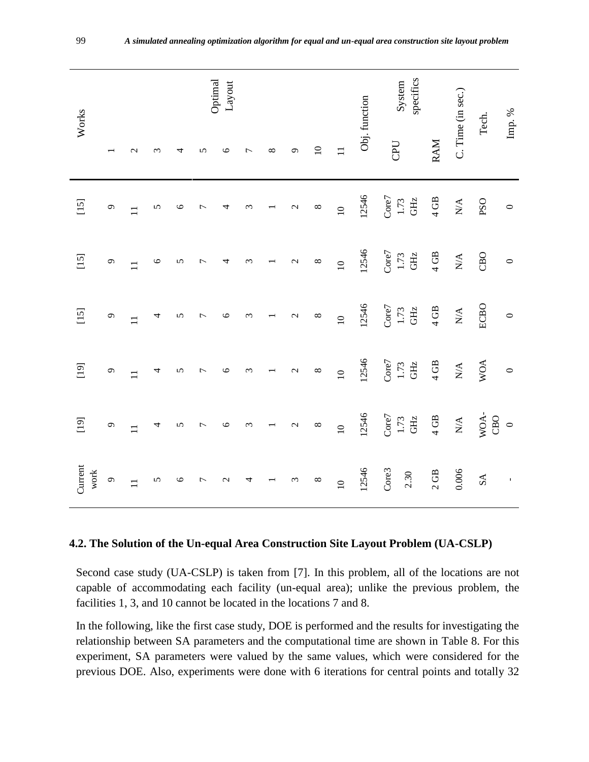| Works           |                   |                   |         |         |                | Optimal<br>Layout |                       |          |                   |                 |                 | Obj. function | specifics<br>System  |                  | C. Time (in sec.)                                 | Tech.       | Imp. $\%$ |
|-----------------|-------------------|-------------------|---------|---------|----------------|-------------------|-----------------------|----------|-------------------|-----------------|-----------------|---------------|----------------------|------------------|---------------------------------------------------|-------------|-----------|
|                 |                   | $\mathbf{\Omega}$ | 3       | 4       | 5              | $\circ$           | $\overline{ }$        | $\infty$ | $\sigma$          | $\overline{10}$ | $\overline{1}$  |               | CPU                  | RAM              |                                                   |             |           |
| $[15]$          | $\sigma$          | $\overline{1}$    | 5       | $\circ$ | 7              | 4                 | $\epsilon$            |          | $\mathbf{C}$      | $\infty$        | $\overline{a}$  | 12546         | Core7<br>GHZ<br>1.73 | $4\,\mathrm{GB}$ | $\mathop{\mathsf{N}}\nolimits^\mathbf{A}$         | <b>PSO</b>  | $\circ$   |
| $[15]$          | $\mathcal{O}$     | $\overline{1}$    | $\circ$ | 5       | Γ              | 4                 | $\epsilon$            |          | $\mathbf{c}$      | $\infty$        | $\overline{10}$ | 12546         | Core7<br>GHZ<br>1.73 | $4\,\mathrm{GB}$ | $\mathop{\mathsf{N}}\nolimits\mathop{\mathsf{A}}$ | CBD         | $\circ$   |
| $[15]$          | $\mathbf{\Omega}$ | $\mathbf{1}$      | 4       | 5       | $\overline{ }$ | $\circ$           | $\epsilon$            |          | $\mathcal{L}$     | $\infty$        | $\overline{10}$ | 12546         | Core7<br>GHZ<br>1.73 | $4$ GB           | $\mathop{\mathsf{N}}\nolimits^\mathbf{A}$         | ECBO        | $\circ$   |
| [19]            | $\mathcal{O}$     | $\Box$            | 4       | 5       | 7              | $\circ$           | 3                     |          | $\mathbf{\Omega}$ | $\infty$        | $\overline{a}$  | 12546         | Core7<br>GHz<br>1.73 | $4$ GB           | $\mathop{\rm N}\nolimits\!$                       | <b>WOA</b>  | $\circ$   |
| $[19]$          | $\mathbf{\Omega}$ | $\overline{1}$    | 4       | 5       | $\overline{ }$ | $\circ$           | $\tilde{\phantom{0}}$ |          | $\mathcal{L}$     | $\infty$        | $\overline{10}$ | 12546         | Core7<br>GHz<br>1.73 | $4$ GB           | $\mathop{\rm N}\nolimits\!mathop{\rm A}\nolimits$ | WOA-<br>CBO | $\circ$   |
| Current<br>work | $\circ$           | $\Box$            | 5       | $\circ$ | 7              | $\mathcal{L}$     | 4                     |          | $\epsilon$        | $\infty$        | $\overline{10}$ | 12546         | Core3<br>2.30        | 2 GB             | 0.006                                             | SA          | $\bar{1}$ |

#### **4.2. The Solution of the Un-equal Area Construction Site Layout Problem (UA-CSLP)**

Second case study (UA-CSLP) is taken from [7]. In this problem, all of the locations are not capable of accommodating each facility (un-equal area); unlike the previous problem, the facilities 1, 3, and 10 cannot be located in the locations 7 and 8.

In the following, like the first case study, DOE is performed and the results for investigating the relationship between SA parameters and the computational time are shown in Table 8. For this experiment, SA parameters were valued by the same values, which were considered for the previous DOE. Also, experiments were done with 6 iterations for central points and totally 32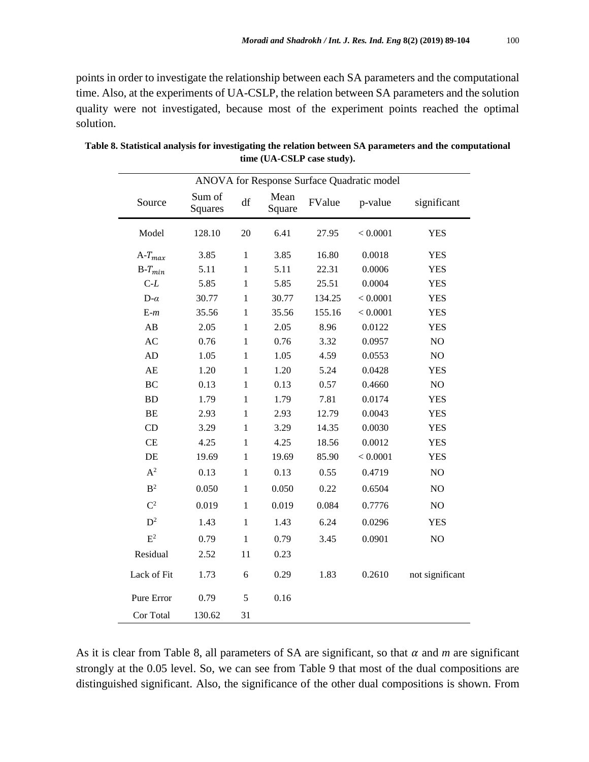points in order to investigate the relationship between each SA parameters and the computational time. Also, at the experiments of UA-CSLP, the relation between SA parameters and the solution quality were not investigated, because most of the experiment points reached the optimal solution.

|                | ANOVA for Response Surface Quadratic model |              |                |        |          |                 |  |  |  |  |  |  |
|----------------|--------------------------------------------|--------------|----------------|--------|----------|-----------------|--|--|--|--|--|--|
| Source         | Sum of<br>Squares                          | df           | Mean<br>Square | FValue | p-value  | significant     |  |  |  |  |  |  |
| Model          | 128.10                                     | 20           | 6.41           | 27.95  | < 0.0001 | <b>YES</b>      |  |  |  |  |  |  |
| $A-T_{max}$    | 3.85                                       | $\mathbf{1}$ | 3.85           | 16.80  | 0.0018   | <b>YES</b>      |  |  |  |  |  |  |
| $B-T_{min}$    | 5.11                                       | $\mathbf{1}$ | 5.11           | 22.31  | 0.0006   | <b>YES</b>      |  |  |  |  |  |  |
| $C-L$          | 5.85                                       | $\mathbf{1}$ | 5.85           | 25.51  | 0.0004   | <b>YES</b>      |  |  |  |  |  |  |
| $D-\alpha$     | 30.77                                      | $\mathbf{1}$ | 30.77          | 134.25 | < 0.0001 | <b>YES</b>      |  |  |  |  |  |  |
| $E-m$          | 35.56                                      | $\mathbf{1}$ | 35.56          | 155.16 | < 0.0001 | <b>YES</b>      |  |  |  |  |  |  |
| AB             | 2.05                                       | $\mathbf{1}$ | 2.05           | 8.96   | 0.0122   | <b>YES</b>      |  |  |  |  |  |  |
| AC             | 0.76                                       | $\mathbf{1}$ | 0.76           | 3.32   | 0.0957   | NO              |  |  |  |  |  |  |
| <b>AD</b>      | 1.05                                       | $\mathbf{1}$ | 1.05           | 4.59   | 0.0553   | NO              |  |  |  |  |  |  |
| AE             | 1.20                                       | $\mathbf{1}$ | 1.20           | 5.24   | 0.0428   | <b>YES</b>      |  |  |  |  |  |  |
| <b>BC</b>      | 0.13                                       | $\mathbf{1}$ | 0.13           | 0.57   | 0.4660   | NO              |  |  |  |  |  |  |
| <b>BD</b>      | 1.79                                       | 1            | 1.79           | 7.81   | 0.0174   | <b>YES</b>      |  |  |  |  |  |  |
| BE             | 2.93                                       | $\mathbf{1}$ | 2.93           | 12.79  | 0.0043   | <b>YES</b>      |  |  |  |  |  |  |
| CD             | 3.29                                       | $\mathbf{1}$ | 3.29           | 14.35  | 0.0030   | <b>YES</b>      |  |  |  |  |  |  |
| CE             | 4.25                                       | $\mathbf{1}$ | 4.25           | 18.56  | 0.0012   | <b>YES</b>      |  |  |  |  |  |  |
| DE             | 19.69                                      | $\mathbf{1}$ | 19.69          | 85.90  | < 0.0001 | <b>YES</b>      |  |  |  |  |  |  |
| $A^2$          | 0.13                                       | $\mathbf{1}$ | 0.13           | 0.55   | 0.4719   | NO              |  |  |  |  |  |  |
| B <sup>2</sup> | 0.050                                      | 1            | 0.050          | 0.22   | 0.6504   | NO              |  |  |  |  |  |  |
| C <sup>2</sup> | 0.019                                      | 1            | 0.019          | 0.084  | 0.7776   | NO              |  |  |  |  |  |  |
| $D^2$          | 1.43                                       | $\mathbf{1}$ | 1.43           | 6.24   | 0.0296   | <b>YES</b>      |  |  |  |  |  |  |
| $E^2$          | 0.79                                       | $\mathbf{1}$ | 0.79           | 3.45   | 0.0901   | NO              |  |  |  |  |  |  |
| Residual       | 2.52                                       | 11           | 0.23           |        |          |                 |  |  |  |  |  |  |
| Lack of Fit    | 1.73                                       | 6            | 0.29           | 1.83   | 0.2610   | not significant |  |  |  |  |  |  |
| Pure Error     | 0.79                                       | 5            | 0.16           |        |          |                 |  |  |  |  |  |  |
| Cor Total      | 130.62                                     | 31           |                |        |          |                 |  |  |  |  |  |  |

**Table 8. Statistical analysis for investigating the relation between SA parameters and the computational time (UA-CSLP case study).**

As it is clear from Table 8, all parameters of SA are significant, so that  $\alpha$  and  $m$  are significant strongly at the 0.05 level. So, we can see from Table 9 that most of the dual compositions are distinguished significant. Also, the significance of the other dual compositions is shown. From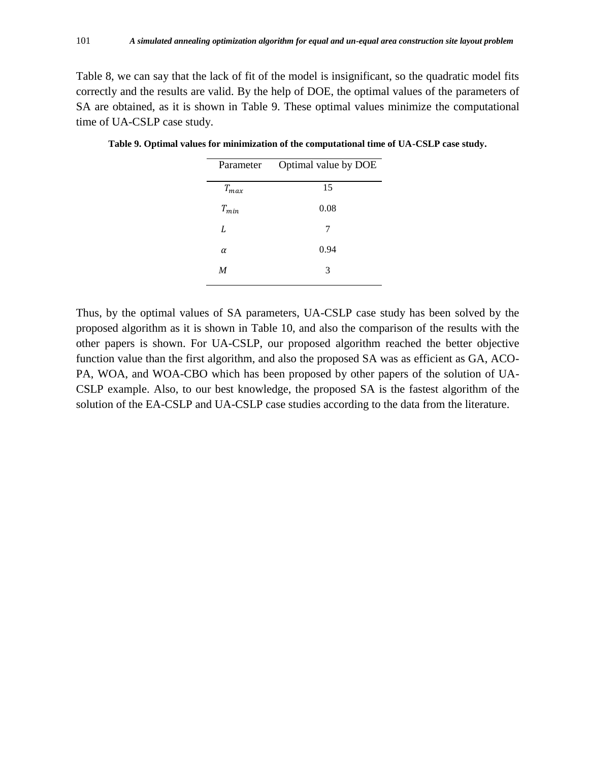Table 8, we can say that the lack of fit of the model is insignificant, so the quadratic model fits correctly and the results are valid. By the help of DOE, the optimal values of the parameters of SA are obtained, as it is shown in Table 9. These optimal values minimize the computational time of UA-CSLP case study.

| Parameter | Optimal value by DOE |
|-----------|----------------------|
| $T_{max}$ | 15                   |
| $T_{min}$ | 0.08                 |
| L         | 7                    |
| $\alpha$  | 0.94                 |
| M         | 3                    |

**Table 9. Optimal values for minimization of the computational time of UA-CSLP case study.**

Thus, by the optimal values of SA parameters, UA-CSLP case study has been solved by the proposed algorithm as it is shown in Table 10, and also the comparison of the results with the other papers is shown. For UA-CSLP, our proposed algorithm reached the better objective function value than the first algorithm, and also the proposed SA was as efficient as GA, ACO-PA, WOA, and WOA-CBO which has been proposed by other papers of the solution of UA-CSLP example. Also, to our best knowledge, the proposed SA is the fastest algorithm of the solution of the EA-CSLP and UA-CSLP case studies according to the data from the literature.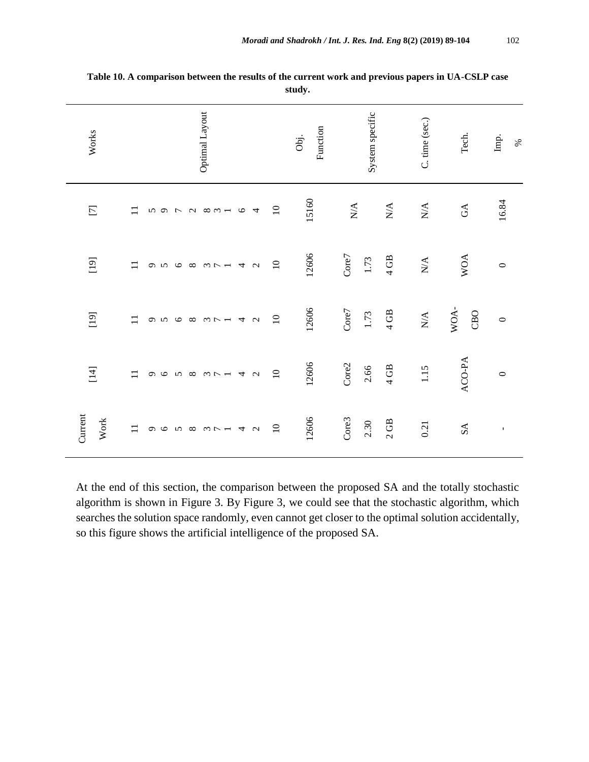| Works           | Optimal Layout                                                                                                                                  | System specific<br>Function<br>Obj. | C. time (sec.)<br>Tech.                                                            | Imp.<br>$\%$ |
|-----------------|-------------------------------------------------------------------------------------------------------------------------------------------------|-------------------------------------|------------------------------------------------------------------------------------|--------------|
| $\Box$          | $\overline{10}$<br>$\equiv$<br>$\begin{array}{ccccc}\n0 & \rightarrow & \sim & \end{array}$<br>$\infty$ m $-$<br>$\circ$<br>5<br>$\overline{4}$ | 15160<br>$\mathbf{N}\mathbf{A}$     | $\mathop{\mathrm{N}}\nolimits$<br>$\mathop{\rm NA}\nolimits$<br>$\mathbb{G}\Delta$ | 16.84        |
| $[19]$          | $\overline{10}$<br>$\Box$<br>$\infty$ $\infty$ $\sim$ $   \sim$ $\sim$<br>$\sim$<br>$\circ$<br>$\sigma$                                         | 12606<br>Core7<br>1.73              | <b>WOA</b><br>$4$ GB<br>$\mathbf{N}/\mathbf{A}$                                    | $\circ$      |
| $[19]$          | $\overline{10}$<br>$\Box$<br><b>5683748</b><br>$\mathbf{\hat{c}}$                                                                               | 12606<br>Core7<br>1.73              | WOA-<br>$4$ GB<br>CBO<br>$\mathop{\rm N}\nolimits\!mathop{\rm A}\nolimits$         | $\circ$      |
| $[14]$          | $\overline{10}$<br>$\mathbf{1}$<br>$M \sim -4$<br>$\sim$<br>$\sigma$<br>$\circ$<br>$\sqrt{2}$                                                   | 12606<br>Core2<br>2.66              | ACO-PA<br>4GB<br>1.15                                                              | $\circ$      |
| Current<br>Work | $\overline{10}$<br>$\equiv$<br>4<br>$\sim$<br>$\sigma$ $\sigma$<br>$\sqrt{2}$<br>$\omega \sim -$                                                | 12606<br>Core3<br>2.30              | 2GB<br>0.21<br>${\rm SA}$                                                          | $\mathbf{I}$ |

**Table 10. A comparison between the results of the current work and previous papers in UA-CSLP case study.**

At the end of this section, the comparison between the proposed SA and the totally stochastic algorithm is shown in Figure 3. By Figure 3, we could see that the stochastic algorithm, which searches the solution space randomly, even cannot get closer to the optimal solution accidentally, so this figure shows the artificial intelligence of the proposed SA.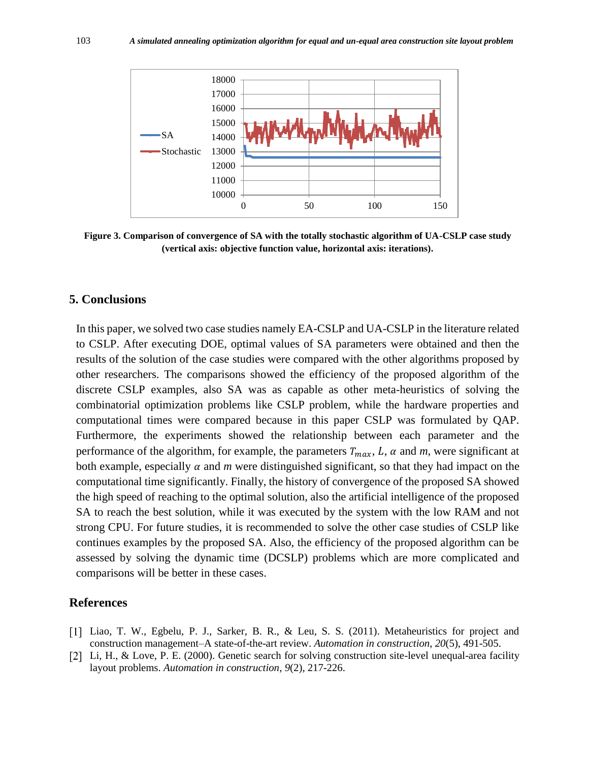

**Figure 3. Comparison of convergence of SA with the totally stochastic algorithm of UA-CSLP case study (vertical axis: objective function value, horizontal axis: iterations).**

#### **5. Conclusions**

In this paper, we solved two case studies namely EA-CSLP and UA-CSLP in the literature related to CSLP. After executing DOE, optimal values of SA parameters were obtained and then the results of the solution of the case studies were compared with the other algorithms proposed by other researchers. The comparisons showed the efficiency of the proposed algorithm of the discrete CSLP examples, also SA was as capable as other meta-heuristics of solving the combinatorial optimization problems like CSLP problem, while the hardware properties and computational times were compared because in this paper CSLP was formulated by QAP. Furthermore, the experiments showed the relationship between each parameter and the performance of the algorithm, for example, the parameters  $T_{max}$ , L,  $\alpha$  and  $m$ , were significant at both example, especially  $\alpha$  and m were distinguished significant, so that they had impact on the computational time significantly. Finally, the history of convergence of the proposed SA showed the high speed of reaching to the optimal solution, also the artificial intelligence of the proposed SA to reach the best solution, while it was executed by the system with the low RAM and not strong CPU. For future studies, it is recommended to solve the other case studies of CSLP like continues examples by the proposed SA. Also, the efficiency of the proposed algorithm can be assessed by solving the dynamic time (DCSLP) problems which are more complicated and comparisons will be better in these cases.

# **References**

- Liao, T. W., Egbelu, P. J., Sarker, B. R., & Leu, S. S. (2011). Metaheuristics for project and construction management–A state-of-the-art review. *Automation in construction*, *20*(5), 491-505.
- [2] Li, H., & Love, P. E. (2000). Genetic search for solving construction site-level unequal-area facility layout problems. *Automation in construction*, *9*(2), 217-226.